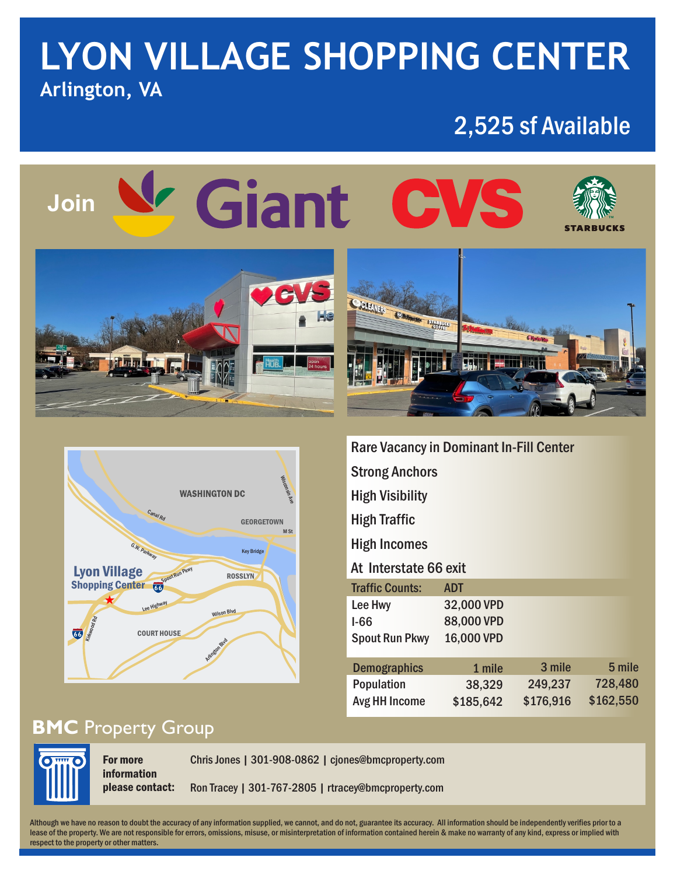## **LYON VILLAGE SHOPPING CENTER Arlington, VA**

### 2,525 sf Available

## V Giant CVS **Join**





| <b>Rare Vacancy in Dominant In-Fill Center</b> |            |           |           |
|------------------------------------------------|------------|-----------|-----------|
| <b>Strong Anchors</b>                          |            |           |           |
| <b>High Visibility</b>                         |            |           |           |
| High Traffic                                   |            |           |           |
| <b>High Incomes</b>                            |            |           |           |
| At Interstate 66 exit                          |            |           |           |
| <b>Traffic Counts:</b>                         | <b>ADT</b> |           |           |
| Lee Hwy                                        | 32,000 VPD |           |           |
| I-66                                           | 88,000 VPD |           |           |
| <b>Spout Run Pkwy</b>                          | 16,000 VPD |           |           |
| <b>Demographics</b>                            | 1 mile     | 3 mile    | 5 mile    |
| <b>Population</b>                              | 38,329     | 249,237   | 728,480   |
| Avg HH Income                                  | \$185,642  | \$176,916 | \$162,550 |

#### **BMC** Property Group



For more information please contact:

Chris Jones | 301-908-0862 | cjones@bmcproperty.com Ron Tracey | 301-767-2805 | rtracey@bmcproperty.com

Although we have no reason to doubt the accuracy of any information supplied, we cannot, and do not, guarantee its accuracy. All information should be independently verifies prior to a lease of the property. We are not responsible for errors, omissions, misuse, or misinterpretation of information contained herein & make no warranty of any kind, express or implied with respect to the property or other matters.